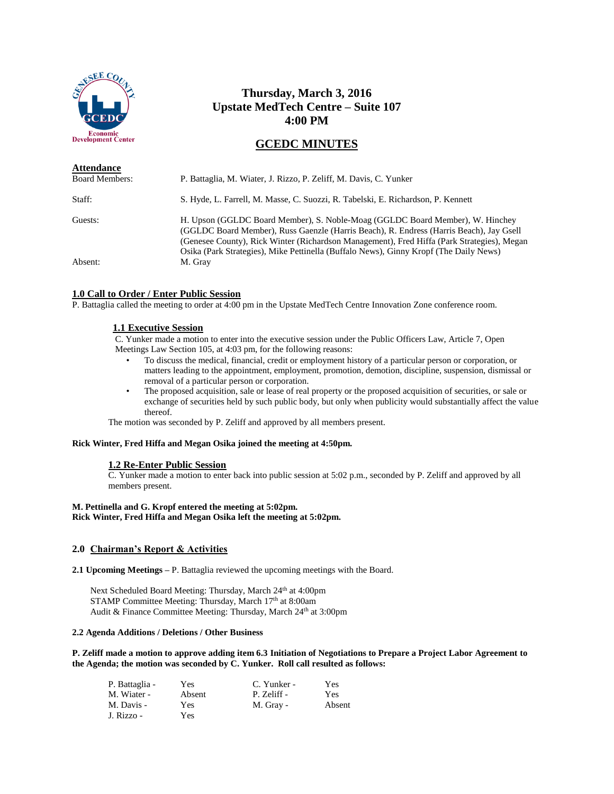

# **Thursday, March 3, 2016 Upstate MedTech Centre – Suite 107 4:00 PM**

# **GCEDC MINUTES**

| <b>Attendance</b><br><b>Board Members:</b> | P. Battaglia, M. Wiater, J. Rizzo, P. Zeliff, M. Davis, C. Yunker                                                                                                                                                                                                                                                                                               |
|--------------------------------------------|-----------------------------------------------------------------------------------------------------------------------------------------------------------------------------------------------------------------------------------------------------------------------------------------------------------------------------------------------------------------|
| Staff:                                     | S. Hyde, L. Farrell, M. Masse, C. Suozzi, R. Tabelski, E. Richardson, P. Kennett                                                                                                                                                                                                                                                                                |
| Guests:                                    | H. Upson (GGLDC Board Member), S. Noble-Moag (GGLDC Board Member), W. Hinchey<br>(GGLDC Board Member), Russ Gaenzle (Harris Beach), R. Endress (Harris Beach), Jay Gsell<br>(Genesee County), Rick Winter (Richardson Management), Fred Hiffa (Park Strategies), Megan<br>Osika (Park Strategies), Mike Pettinella (Buffalo News), Ginny Kropf (The Daily News) |
| Absent:                                    | M. Gray                                                                                                                                                                                                                                                                                                                                                         |

# **1.0 Call to Order / Enter Public Session**

P. Battaglia called the meeting to order at 4:00 pm in the Upstate MedTech Centre Innovation Zone conference room.

# **1.1 Executive Session**

C. Yunker made a motion to enter into the executive session under the Public Officers Law, Article 7, Open Meetings Law Section 105, at 4:03 pm, for the following reasons:

- To discuss the medical, financial, credit or employment history of a particular person or corporation, or matters leading to the appointment, employment, promotion, demotion, discipline, suspension, dismissal or removal of a particular person or corporation.
- The proposed acquisition, sale or lease of real property or the proposed acquisition of securities, or sale or exchange of securities held by such public body, but only when publicity would substantially affect the value thereof.

The motion was seconded by P. Zeliff and approved by all members present.

# **Rick Winter, Fred Hiffa and Megan Osika joined the meeting at 4:50pm.**

# **1.2 Re-Enter Public Session**

C. Yunker made a motion to enter back into public session at 5:02 p.m., seconded by P. Zeliff and approved by all members present.

# **M. Pettinella and G. Kropf entered the meeting at 5:02pm. Rick Winter, Fred Hiffa and Megan Osika left the meeting at 5:02pm.**

# **2.0 Chairman's Report & Activities**

**2.1 Upcoming Meetings –** P. Battaglia reviewed the upcoming meetings with the Board.

Next Scheduled Board Meeting: Thursday, March 24<sup>th</sup> at 4:00pm STAMP Committee Meeting: Thursday, March 17<sup>th</sup> at 8:00am Audit & Finance Committee Meeting: Thursday, March 24<sup>th</sup> at 3:00pm

#### **2.2 Agenda Additions / Deletions / Other Business**

**P. Zeliff made a motion to approve adding item 6.3 Initiation of Negotiations to Prepare a Project Labor Agreement to the Agenda; the motion was seconded by C. Yunker. Roll call resulted as follows:**

| P. Battaglia - | Yes    | C. Yunker - | Yes    |
|----------------|--------|-------------|--------|
| M. Wiater -    | Absent | P. Zeliff - | Yes    |
| M. Davis -     | Yes    | M. Gray -   | Absent |
| J. Rizzo -     | Yes    |             |        |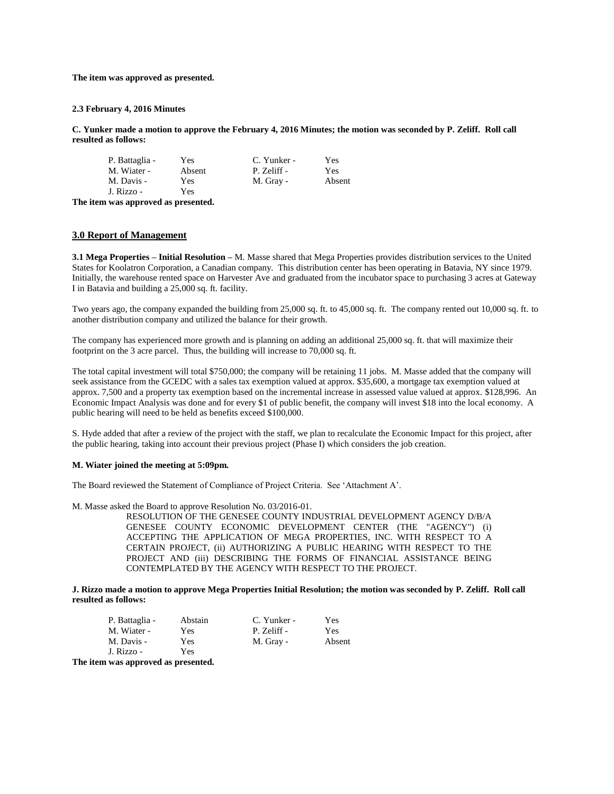**The item was approved as presented.**

#### **2.3 February 4, 2016 Minutes**

**C. Yunker made a motion to approve the February 4, 2016 Minutes; the motion was seconded by P. Zeliff. Roll call resulted as follows:**

| P. Battaglia -           | Yes        | C. Yunker - | Yes    |
|--------------------------|------------|-------------|--------|
| M. Wiater -              | Absent     | P. Zeliff - | Yes    |
| M. Davis -<br>J. Rizzo - | Yes<br>Yes | M. Gray -   | Absent |

**The item was approved as presented.**

#### **3.0 Report of Management**

**3.1 Mega Properties – Initial Resolution –** M. Masse shared that Mega Properties provides distribution services to the United States for Koolatron Corporation, a Canadian company. This distribution center has been operating in Batavia, NY since 1979. Initially, the warehouse rented space on Harvester Ave and graduated from the incubator space to purchasing 3 acres at Gateway I in Batavia and building a 25,000 sq. ft. facility.

Two years ago, the company expanded the building from 25,000 sq. ft. to 45,000 sq. ft. The company rented out 10,000 sq. ft. to another distribution company and utilized the balance for their growth.

The company has experienced more growth and is planning on adding an additional 25,000 sq. ft. that will maximize their footprint on the 3 acre parcel. Thus, the building will increase to 70,000 sq. ft.

The total capital investment will total \$750,000; the company will be retaining 11 jobs. M. Masse added that the company will seek assistance from the GCEDC with a sales tax exemption valued at approx. \$35,600, a mortgage tax exemption valued at approx. 7,500 and a property tax exemption based on the incremental increase in assessed value valued at approx. \$128,996. An Economic Impact Analysis was done and for every \$1 of public benefit, the company will invest \$18 into the local economy. A public hearing will need to be held as benefits exceed \$100,000.

S. Hyde added that after a review of the project with the staff, we plan to recalculate the Economic Impact for this project, after the public hearing, taking into account their previous project (Phase I) which considers the job creation.

#### **M. Wiater joined the meeting at 5:09pm.**

The Board reviewed the Statement of Compliance of Project Criteria. See 'Attachment A'.

M. Masse asked the Board to approve Resolution No. 03/2016-01.

RESOLUTION OF THE GENESEE COUNTY INDUSTRIAL DEVELOPMENT AGENCY D/B/A GENESEE COUNTY ECONOMIC DEVELOPMENT CENTER (THE "AGENCY") (i) ACCEPTING THE APPLICATION OF MEGA PROPERTIES, INC. WITH RESPECT TO A CERTAIN PROJECT, (ii) AUTHORIZING A PUBLIC HEARING WITH RESPECT TO THE PROJECT AND (iii) DESCRIBING THE FORMS OF FINANCIAL ASSISTANCE BEING CONTEMPLATED BY THE AGENCY WITH RESPECT TO THE PROJECT.

**J. Rizzo made a motion to approve Mega Properties Initial Resolution; the motion was seconded by P. Zeliff. Roll call resulted as follows:**

| P. Battaglia - | Abstain | C. Yunker - | Yes    |
|----------------|---------|-------------|--------|
| M. Wiater -    | Yes     | P. Zeliff - | Yes    |
| M. Davis -     | Yes     | M. Gray -   | Absent |
| J. Rizzo -     | Yes     |             |        |

**The item was approved as presented.**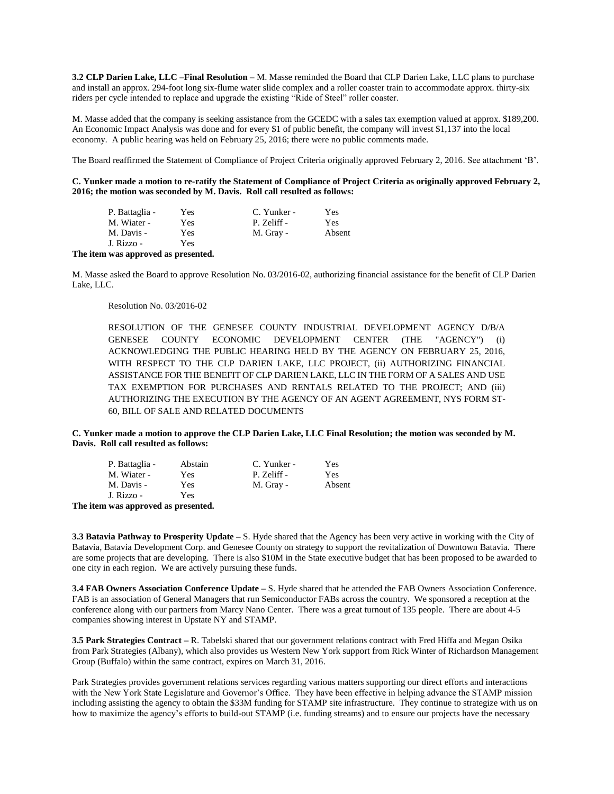**3.2 CLP Darien Lake, LLC –Final Resolution –** M. Masse reminded the Board that CLP Darien Lake, LLC plans to purchase and install an approx. 294-foot long six-flume water slide complex and a roller coaster train to accommodate approx. thirty-six riders per cycle intended to replace and upgrade the existing "Ride of Steel" roller coaster.

M. Masse added that the company is seeking assistance from the GCEDC with a sales tax exemption valued at approx. \$189,200. An Economic Impact Analysis was done and for every \$1 of public benefit, the company will invest \$1,137 into the local economy. A public hearing was held on February 25, 2016; there were no public comments made.

The Board reaffirmed the Statement of Compliance of Project Criteria originally approved February 2, 2016. See attachment 'B'.

**C. Yunker made a motion to re-ratify the Statement of Compliance of Project Criteria as originally approved February 2, 2016; the motion was seconded by M. Davis. Roll call resulted as follows:**

| P. Battaglia - | Yes | C. Yunker - | Yes    |
|----------------|-----|-------------|--------|
| M. Wiater -    | Yes | P. Zeliff - | Yes    |
| M. Davis -     | Yes | M. Gray -   | Absent |
| J. Rizzo -     | Yes |             |        |

#### **The item was approved as presented.**

M. Masse asked the Board to approve Resolution No. 03/2016-02, authorizing financial assistance for the benefit of CLP Darien Lake, LLC.

#### Resolution No. 03/2016-02

RESOLUTION OF THE GENESEE COUNTY INDUSTRIAL DEVELOPMENT AGENCY D/B/A GENESEE COUNTY ECONOMIC DEVELOPMENT CENTER (THE "AGENCY") (i) ACKNOWLEDGING THE PUBLIC HEARING HELD BY THE AGENCY ON FEBRUARY 25, 2016, WITH RESPECT TO THE CLP DARIEN LAKE, LLC PROJECT, (ii) AUTHORIZING FINANCIAL ASSISTANCE FOR THE BENEFIT OF CLP DARIEN LAKE, LLC IN THE FORM OF A SALES AND USE TAX EXEMPTION FOR PURCHASES AND RENTALS RELATED TO THE PROJECT; AND (iii) AUTHORIZING THE EXECUTION BY THE AGENCY OF AN AGENT AGREEMENT, NYS FORM ST-60, BILL OF SALE AND RELATED DOCUMENTS

#### **C. Yunker made a motion to approve the CLP Darien Lake, LLC Final Resolution; the motion was seconded by M. Davis. Roll call resulted as follows:**

| P. Battaglia - | Abstain | C. Yunker - | Yes    |
|----------------|---------|-------------|--------|
| M. Wiater -    | Yes     | P. Zeliff - | Yes    |
| M. Davis -     | Yes     | M. Gray -   | Absent |
| J. Rizzo -     | Yes     |             |        |

**The item was approved as presented.**

**3.3 Batavia Pathway to Prosperity Update –** S. Hyde shared that the Agency has been very active in working with the City of Batavia, Batavia Development Corp. and Genesee County on strategy to support the revitalization of Downtown Batavia. There are some projects that are developing. There is also \$10M in the State executive budget that has been proposed to be awarded to one city in each region. We are actively pursuing these funds.

**3.4 FAB Owners Association Conference Update –** S. Hyde shared that he attended the FAB Owners Association Conference. FAB is an association of General Managers that run Semiconductor FABs across the country. We sponsored a reception at the conference along with our partners from Marcy Nano Center. There was a great turnout of 135 people. There are about 4-5 companies showing interest in Upstate NY and STAMP.

**3.5 Park Strategies Contract –** R. Tabelski shared that our government relations contract with Fred Hiffa and Megan Osika from Park Strategies (Albany), which also provides us Western New York support from Rick Winter of Richardson Management Group (Buffalo) within the same contract, expires on March 31, 2016.

Park Strategies provides government relations services regarding various matters supporting our direct efforts and interactions with the New York State Legislature and Governor's Office. They have been effective in helping advance the STAMP mission including assisting the agency to obtain the \$33M funding for STAMP site infrastructure. They continue to strategize with us on how to maximize the agency's efforts to build-out STAMP (i.e. funding streams) and to ensure our projects have the necessary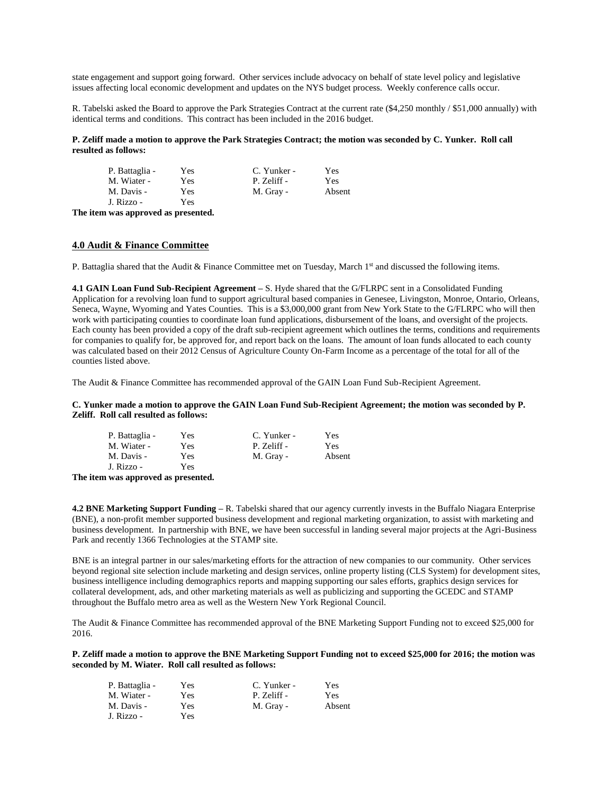state engagement and support going forward. Other services include advocacy on behalf of state level policy and legislative issues affecting local economic development and updates on the NYS budget process. Weekly conference calls occur.

R. Tabelski asked the Board to approve the Park Strategies Contract at the current rate (\$4,250 monthly / \$51,000 annually) with identical terms and conditions. This contract has been included in the 2016 budget.

**P. Zeliff made a motion to approve the Park Strategies Contract; the motion was seconded by C. Yunker. Roll call resulted as follows:**

| P. Battaglia - | <b>Yes</b> | C. Yunker - | Yes    |
|----------------|------------|-------------|--------|
| M. Wiater -    | Yes        | P. Zeliff - | Yes    |
| M. Davis -     | Yes        | M. Gray -   | Absent |
| J. Rizzo -     | Yes        |             |        |
|                |            |             |        |

**The item was approved as presented.**

# **4.0 Audit & Finance Committee**

P. Battaglia shared that the Audit & Finance Committee met on Tuesday, March 1<sup>st</sup> and discussed the following items.

**4.1 GAIN Loan Fund Sub-Recipient Agreement –** S. Hyde shared that the G/FLRPC sent in a Consolidated Funding Application for a revolving loan fund to support agricultural based companies in Genesee, Livingston, Monroe, Ontario, Orleans, Seneca, Wayne, Wyoming and Yates Counties. This is a \$3,000,000 grant from New York State to the G/FLRPC who will then work with participating counties to coordinate loan fund applications, disbursement of the loans, and oversight of the projects. Each county has been provided a copy of the draft sub-recipient agreement which outlines the terms, conditions and requirements for companies to qualify for, be approved for, and report back on the loans. The amount of loan funds allocated to each county was calculated based on their 2012 Census of Agriculture County On-Farm Income as a percentage of the total for all of the counties listed above.

The Audit & Finance Committee has recommended approval of the GAIN Loan Fund Sub-Recipient Agreement.

**C. Yunker made a motion to approve the GAIN Loan Fund Sub-Recipient Agreement; the motion was seconded by P. Zeliff. Roll call resulted as follows:**

| P. Battaglia - | Yes | C. Yunker - | Yes        |
|----------------|-----|-------------|------------|
| M. Wiater -    | Yes | P. Zeliff - | <b>Yes</b> |
| M. Davis -     | Yes | M. Gray -   | Absent     |
| J. Rizzo -     | Yes |             |            |
|                |     |             |            |

**The item was approved as presented.**

**4.2 BNE Marketing Support Funding –** R. Tabelski shared that our agency currently invests in the Buffalo Niagara Enterprise (BNE), a non-profit member supported business development and regional marketing organization, to assist with marketing and business development. In partnership with BNE, we have been successful in landing several major projects at the Agri-Business Park and recently 1366 Technologies at the STAMP site.

BNE is an integral partner in our sales/marketing efforts for the attraction of new companies to our community. Other services beyond regional site selection include marketing and design services, online property listing (CLS System) for development sites, business intelligence including demographics reports and mapping supporting our sales efforts, graphics design services for collateral development, ads, and other marketing materials as well as publicizing and supporting the GCEDC and STAMP throughout the Buffalo metro area as well as the Western New York Regional Council.

The Audit & Finance Committee has recommended approval of the BNE Marketing Support Funding not to exceed \$25,000 for 2016.

**P. Zeliff made a motion to approve the BNE Marketing Support Funding not to exceed \$25,000 for 2016; the motion was seconded by M. Wiater. Roll call resulted as follows:**

| P. Battaglia - | Yes | C. Yunker - | Yes    |
|----------------|-----|-------------|--------|
| M. Wiater -    | Yes | P. Zeliff - | Yes    |
| M. Davis -     | Yes | M. Gray -   | Absent |
| J. Rizzo -     | Yes |             |        |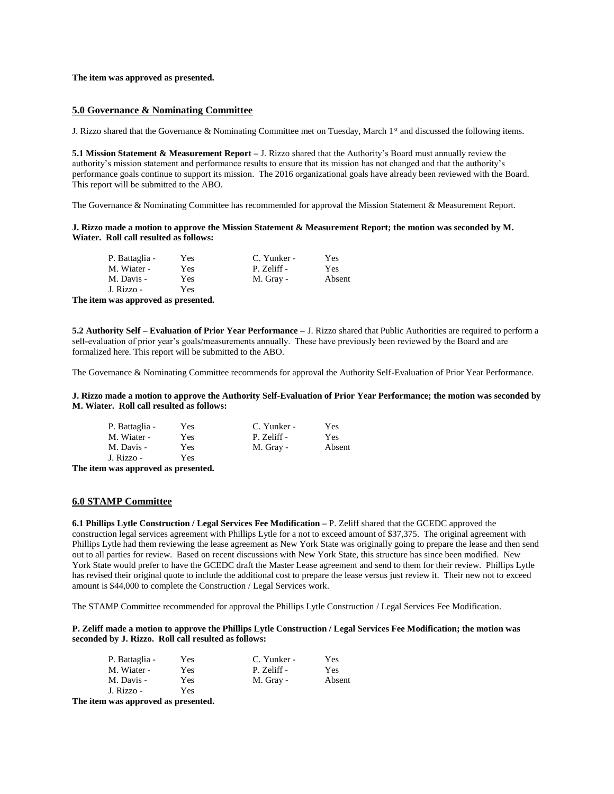#### **The item was approved as presented.**

### **5.0 Governance & Nominating Committee**

J. Rizzo shared that the Governance & Nominating Committee met on Tuesday, March 1st and discussed the following items.

**5.1 Mission Statement & Measurement Report –** J. Rizzo shared that the Authority's Board must annually review the authority's mission statement and performance results to ensure that its mission has not changed and that the authority's performance goals continue to support its mission. The 2016 organizational goals have already been reviewed with the Board. This report will be submitted to the ABO.

The Governance & Nominating Committee has recommended for approval the Mission Statement & Measurement Report.

**J. Rizzo made a motion to approve the Mission Statement & Measurement Report; the motion was seconded by M. Wiater. Roll call resulted as follows:**

| P. Battaglia - | Yes | C. Yunker - | Yes    |
|----------------|-----|-------------|--------|
| M. Wiater -    | Yes | P. Zeliff - | Yes    |
| M. Davis -     | Yes | M. Gray -   | Absent |
| J. Rizzo -     | Yes |             |        |
|                |     |             |        |

**The item was approved as presented.**

**5.2 Authority Self – Evaluation of Prior Year Performance –** J. Rizzo shared that Public Authorities are required to perform a self-evaluation of prior year's goals/measurements annually. These have previously been reviewed by the Board and are formalized here. This report will be submitted to the ABO.

The Governance & Nominating Committee recommends for approval the Authority Self-Evaluation of Prior Year Performance.

**J. Rizzo made a motion to approve the Authority Self-Evaluation of Prior Year Performance; the motion was seconded by M. Wiater. Roll call resulted as follows:**

| P. Battaglia - | Yes | C. Yunker - | Yes    |
|----------------|-----|-------------|--------|
| M. Wiater -    | Yes | P. Zeliff - | Yes    |
| M. Davis -     | Yes | M. Gray -   | Absent |
| J. Rizzo -     | Yes |             |        |

**The item was approved as presented.**

### **6.0 STAMP Committee**

**6.1 Phillips Lytle Construction / Legal Services Fee Modification –** P. Zeliff shared that the GCEDC approved the construction legal services agreement with Phillips Lytle for a not to exceed amount of \$37,375. The original agreement with Phillips Lytle had them reviewing the lease agreement as New York State was originally going to prepare the lease and then send out to all parties for review. Based on recent discussions with New York State, this structure has since been modified. New York State would prefer to have the GCEDC draft the Master Lease agreement and send to them for their review. Phillips Lytle has revised their original quote to include the additional cost to prepare the lease versus just review it. Their new not to exceed amount is \$44,000 to complete the Construction / Legal Services work.

The STAMP Committee recommended for approval the Phillips Lytle Construction / Legal Services Fee Modification.

#### **P. Zeliff made a motion to approve the Phillips Lytle Construction / Legal Services Fee Modification; the motion was seconded by J. Rizzo. Roll call resulted as follows:**

| P. Battaglia - | Yes | C. Yunker - | Yes    |
|----------------|-----|-------------|--------|
| M. Wiater -    | Yes | P. Zeliff - | Yes    |
| M. Davis -     | Yes | M. Gray -   | Absent |
| J. Rizzo -     | Yes |             |        |

**The item was approved as presented.**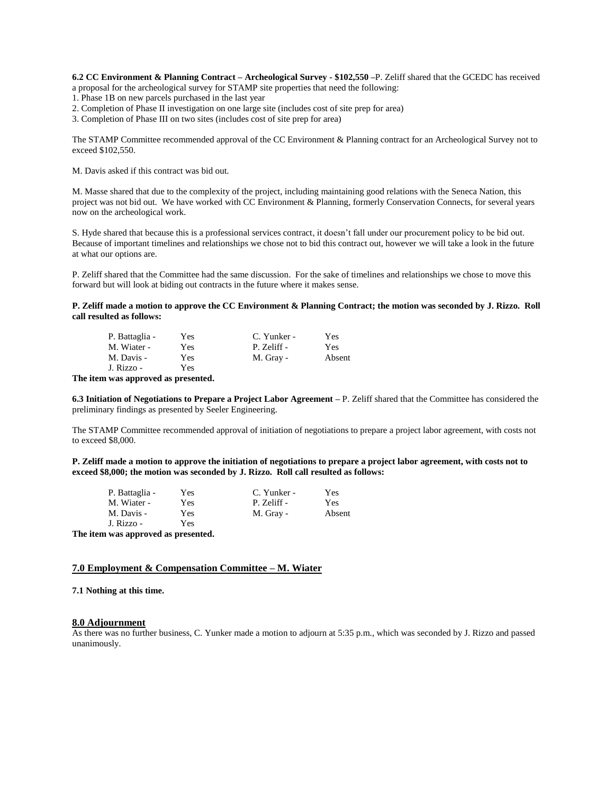**6.2 CC Environment & Planning Contract – Archeological Survey - \$102,550 –**P. Zeliff shared that the GCEDC has received a proposal for the archeological survey for STAMP site properties that need the following:

1. Phase 1B on new parcels purchased in the last year

2. Completion of Phase II investigation on one large site (includes cost of site prep for area)

3. Completion of Phase III on two sites (includes cost of site prep for area)

The STAMP Committee recommended approval of the CC Environment & Planning contract for an Archeological Survey not to exceed \$102,550.

M. Davis asked if this contract was bid out.

M. Masse shared that due to the complexity of the project, including maintaining good relations with the Seneca Nation, this project was not bid out. We have worked with CC Environment & Planning, formerly Conservation Connects, for several years now on the archeological work.

S. Hyde shared that because this is a professional services contract, it doesn't fall under our procurement policy to be bid out. Because of important timelines and relationships we chose not to bid this contract out, however we will take a look in the future at what our options are.

P. Zeliff shared that the Committee had the same discussion. For the sake of timelines and relationships we chose to move this forward but will look at biding out contracts in the future where it makes sense.

**P. Zeliff made a motion to approve the CC Environment & Planning Contract; the motion was seconded by J. Rizzo. Roll call resulted as follows:**

| P. Battaglia - | Yes | C. Yunker - | Yes    |
|----------------|-----|-------------|--------|
| M. Wiater -    | Yes | P. Zeliff - | Yes    |
| M. Davis -     | Yes | M. Gray -   | Absent |
| J. Rizzo -     | Yes |             |        |

**The item was approved as presented.**

**6.3 Initiation of Negotiations to Prepare a Project Labor Agreement –** P. Zeliff shared that the Committee has considered the preliminary findings as presented by Seeler Engineering.

The STAMP Committee recommended approval of initiation of negotiations to prepare a project labor agreement, with costs not to exceed \$8,000.

**P. Zeliff made a motion to approve the initiation of negotiations to prepare a project labor agreement, with costs not to exceed \$8,000; the motion was seconded by J. Rizzo. Roll call resulted as follows:**

|       | P. Battaglia - | Yes | C. Yunker - | Yes    |
|-------|----------------|-----|-------------|--------|
|       | M. Wiater -    | Yes | P. Zeliff - | Yes    |
|       | M. Davis -     | Yes | M. Gray -   | Absent |
|       | J. Rizzo -     | Yes |             |        |
| mana. |                |     |             |        |

**The item was approved as presented.**

# **7.0 Employment & Compensation Committee – M. Wiater**

**7.1 Nothing at this time.**

## **8.0 Adjournment**

As there was no further business, C. Yunker made a motion to adjourn at 5:35 p.m., which was seconded by J. Rizzo and passed unanimously.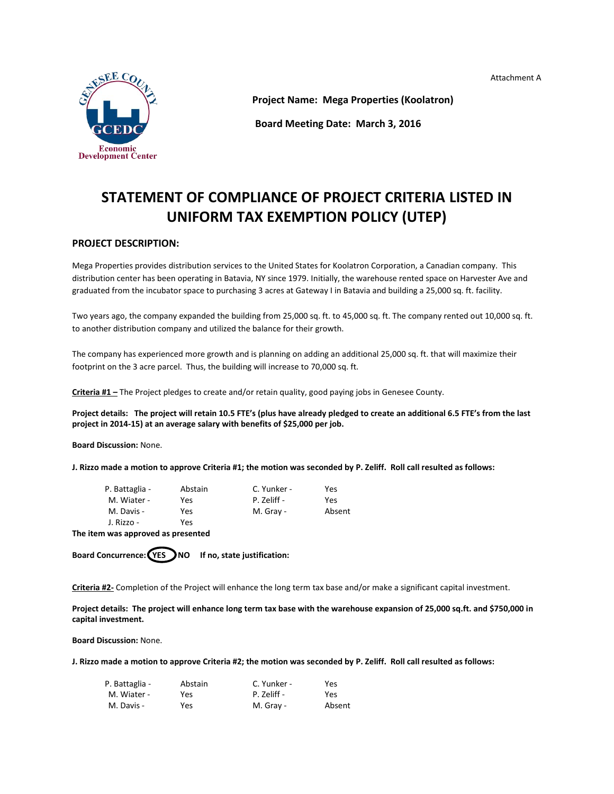Attachment A



**Project Name: Mega Properties (Koolatron)**

**Board Meeting Date: March 3, 2016**

# **STATEMENT OF COMPLIANCE OF PROJECT CRITERIA LISTED IN UNIFORM TAX EXEMPTION POLICY (UTEP)**

# **PROJECT DESCRIPTION:**

Mega Properties provides distribution services to the United States for Koolatron Corporation, a Canadian company. This distribution center has been operating in Batavia, NY since 1979. Initially, the warehouse rented space on Harvester Ave and graduated from the incubator space to purchasing 3 acres at Gateway I in Batavia and building a 25,000 sq. ft. facility.

Two years ago, the company expanded the building from 25,000 sq. ft. to 45,000 sq. ft. The company rented out 10,000 sq. ft. to another distribution company and utilized the balance for their growth.

The company has experienced more growth and is planning on adding an additional 25,000 sq. ft. that will maximize their footprint on the 3 acre parcel. Thus, the building will increase to 70,000 sq. ft.

**Criteria #1 –** The Project pledges to create and/or retain quality, good paying jobs in Genesee County.

**Project details: The project will retain 10.5 FTE's (plus have already pledged to create an additional 6.5 FTE's from the last project in 2014-15) at an average salary with benefits of \$25,000 per job.**

**Board Discussion:** None.

**J. Rizzo made a motion to approve Criteria #1; the motion was seconded by P. Zeliff. Roll call resulted as follows:**

| P. Battaglia - | Abstain | C. Yunker - | Yes    |
|----------------|---------|-------------|--------|
| M. Wiater -    | Yes     | P. Zeliff - | Yes    |
| M. Davis -     | Yes     | M. Gray -   | Absent |
| J. Rizzo -     | Yes     |             |        |
|                |         |             |        |

**The item was approved as presented**

Board Concurrence: (YES ) NO If no, state justification:

**Criteria #2-** Completion of the Project will enhance the long term tax base and/or make a significant capital investment.

**Project details: The project will enhance long term tax base with the warehouse expansion of 25,000 sq.ft. and \$750,000 in capital investment.**

**Board Discussion:** None.

**J. Rizzo made a motion to approve Criteria #2; the motion was seconded by P. Zeliff. Roll call resulted as follows:**

| P. Battaglia - | Abstain | C. Yunker - | Yes    |
|----------------|---------|-------------|--------|
| M. Wiater -    | Yes     | P. Zeliff - | Yes    |
| M. Davis -     | Yes     | M. Gray -   | Absent |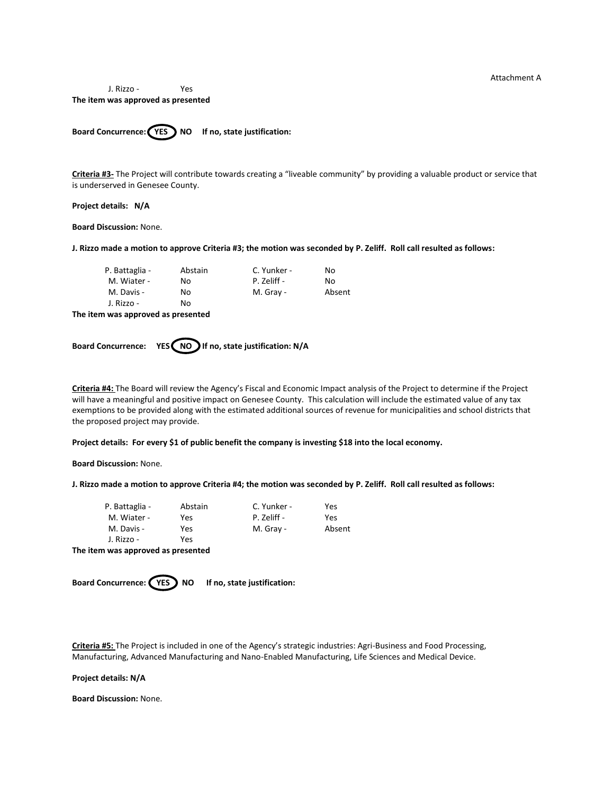Attachment A

J. Rizzo - Yes **The item was approved as presented**

Board Concurrence: **(YES)** NO If no, state justification:

**Criteria #3-** The Project will contribute towards creating a "liveable community" by providing a valuable product or service that is underserved in Genesee County.

**Project details: N/A**

**Board Discussion:** None.

**J. Rizzo made a motion to approve Criteria #3; the motion was seconded by P. Zeliff. Roll call resulted as follows:**

| P. Battaglia - | Abstain | C. Yunker - | Nο     |
|----------------|---------|-------------|--------|
| M. Wiater -    | Nο      | P. Zeliff - | Nο     |
| M. Davis -     | No      | M. Gray -   | Absent |
| J. Rizzo -     | No      |             |        |

**The item was approved as presented**

Board Concurrence: YES NO If no, state justification: N/A

**Criteria #4:** The Board will review the Agency's Fiscal and Economic Impact analysis of the Project to determine if the Project will have a meaningful and positive impact on Genesee County. This calculation will include the estimated value of any tax exemptions to be provided along with the estimated additional sources of revenue for municipalities and school districts that the proposed project may provide.

**Project details: For every \$1 of public benefit the company is investing \$18 into the local economy.**

**Board Discussion:** None.

**J. Rizzo made a motion to approve Criteria #4; the motion was seconded by P. Zeliff. Roll call resulted as follows:**

| P. Battaglia - | Abstain | C. Yunker - | Yes    |
|----------------|---------|-------------|--------|
| M. Wiater -    | Yes     | P. Zeliff - | Yes    |
| M. Davis -     | Yes     | M. Gray -   | Absent |
| J. Rizzo -     | Yes     |             |        |

**The item was approved as presented**



**Criteria #5:** The Project is included in one of the Agency's strategic industries: Agri-Business and Food Processing, Manufacturing, Advanced Manufacturing and Nano-Enabled Manufacturing, Life Sciences and Medical Device.

**Project details: N/A**

**Board Discussion:** None.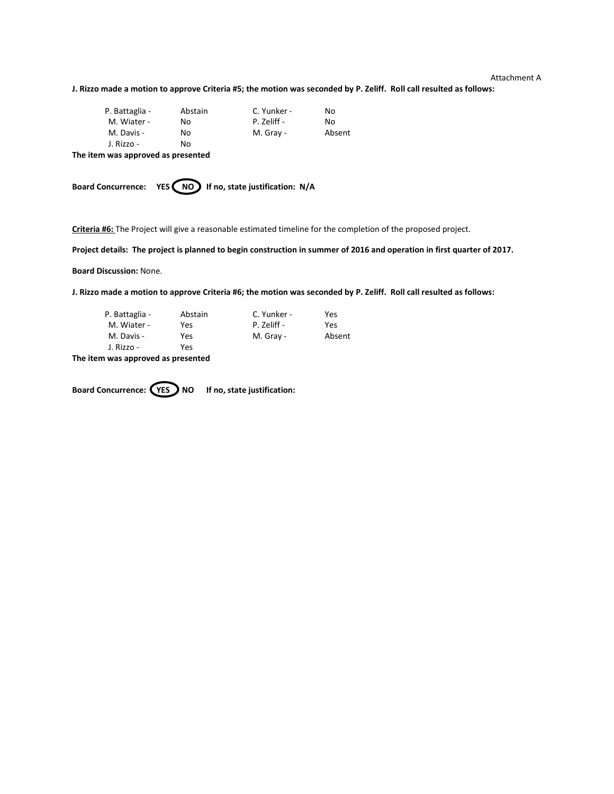### Attachment A

**J. Rizzo made a motion to approve Criteria #5; the motion was seconded by P. Zeliff. Roll call resulted as follows:**

| P. Battaglia - | Abstain | C. Yunker - | Nο     |
|----------------|---------|-------------|--------|
| M. Wiater -    | No      | P. Zeliff - | Nο     |
| M. Davis -     | No      | M. Gray -   | Absent |
| J. Rizzo -     | No      |             |        |

**The item was approved as presented**

Board Concurrence: YES (NO) If no, state justification: N/A

**Criteria #6:** The Project will give a reasonable estimated timeline for the completion of the proposed project.

**Project details: The project is planned to begin construction in summer of 2016 and operation in first quarter of 2017.**

**Board Discussion:** None.

**J. Rizzo made a motion to approve Criteria #6; the motion was seconded by P. Zeliff. Roll call resulted as follows:**

| P. Battaglia - | Abstain | C. Yunker - | Yes    |
|----------------|---------|-------------|--------|
| M. Wiater -    | Yes     | P. Zeliff - | Yes    |
| M. Davis -     | Yes     | M. Gray -   | Absent |
| J. Rizzo -     | Yes     |             |        |

**The item was approved as presented**

Board Concurrence: **(YES)** NO If no, state justification: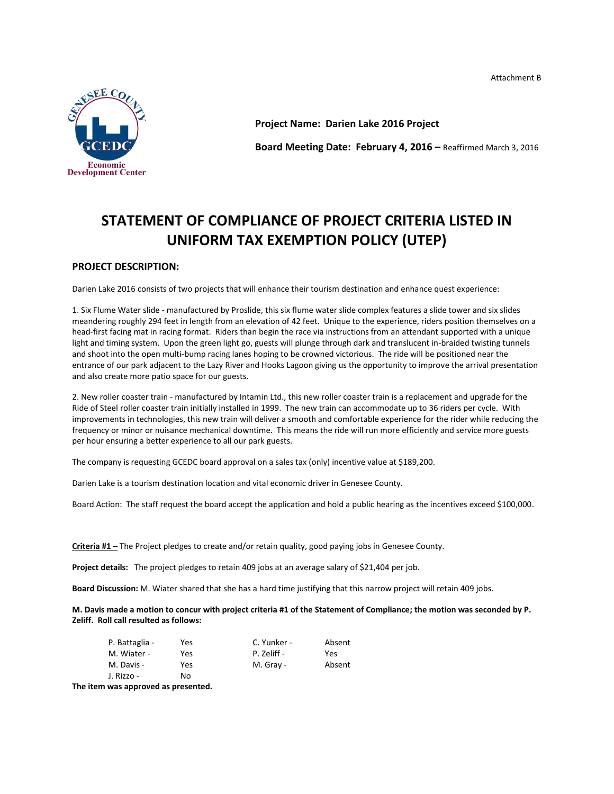Attachment B



**Project Name: Darien Lake 2016 Project Board Meeting Date: February 4, 2016 –** Reaffirmed March 3, 2016

# **STATEMENT OF COMPLIANCE OF PROJECT CRITERIA LISTED IN UNIFORM TAX EXEMPTION POLICY (UTEP)**

# **PROJECT DESCRIPTION:**

Darien Lake 2016 consists of two projects that will enhance their tourism destination and enhance quest experience:

1. Six Flume Water slide - manufactured by Proslide, this six flume water slide complex features a slide tower and six slides meandering roughly 294 feet in length from an elevation of 42 feet. Unique to the experience, riders position themselves on a head-first facing mat in racing format. Riders than begin the race via instructions from an attendant supported with a unique light and timing system. Upon the green light go, guests will plunge through dark and translucent in-braided twisting tunnels and shoot into the open multi-bump racing lanes hoping to be crowned victorious. The ride will be positioned near the entrance of our park adjacent to the Lazy River and Hooks Lagoon giving us the opportunity to improve the arrival presentation and also create more patio space for our guests.

2. New roller coaster train - manufactured by Intamin Ltd., this new roller coaster train is a replacement and upgrade for the Ride of Steel roller coaster train initially installed in 1999. The new train can accommodate up to 36 riders per cycle. With improvements in technologies, this new train will deliver a smooth and comfortable experience for the rider while reducing the frequency or minor or nuisance mechanical downtime. This means the ride will run more efficiently and service more guests per hour ensuring a better experience to all our park guests.

The company is requesting GCEDC board approval on a sales tax (only) incentive value at \$189,200.

Darien Lake is a tourism destination location and vital economic driver in Genesee County.

Board Action: The staff request the board accept the application and hold a public hearing as the incentives exceed \$100,000.

**Criteria #1 –** The Project pledges to create and/or retain quality, good paying jobs in Genesee County.

**Project details:** The project pledges to retain 409 jobs at an average salary of \$21,404 per job.

**Board Discussion:** M. Wiater shared that she has a hard time justifying that this narrow project will retain 409 jobs.

**M. Davis made a motion to concur with project criteria #1 of the Statement of Compliance; the motion was seconded by P. Zeliff. Roll call resulted as follows:**

| P. Battaglia - | Yes | C. Yunker - | Absent |
|----------------|-----|-------------|--------|
| M. Wiater -    | Yes | P. Zeliff - | Yes    |
| M. Davis -     | Yes | M. Gray -   | Absent |
| J. Rizzo -     | No  |             |        |

**The item was approved as presented.**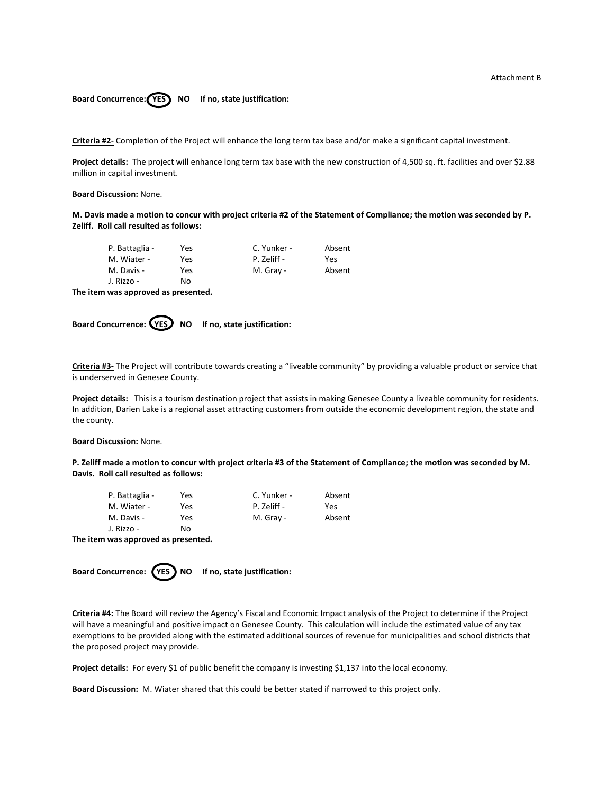# Board Concurrence: **YES** NO If no, state justification:

**Criteria #2-** Completion of the Project will enhance the long term tax base and/or make a significant capital investment.

**Project details:** The project will enhance long term tax base with the new construction of 4,500 sq. ft. facilities and over \$2.88 million in capital investment.

**Board Discussion:** None.

**M. Davis made a motion to concur with project criteria #2 of the Statement of Compliance; the motion was seconded by P. Zeliff. Roll call resulted as follows:**

| P. Battaglia - | Yes | C. Yunker - | Absent |
|----------------|-----|-------------|--------|
| M. Wiater -    | Yes | P. Zeliff - | Yes    |
| M. Davis -     | Yes | M. Gray -   | Absent |
| J. Rizzo -     | No  |             |        |

**The item was approved as presented.**



**Criteria #3-** The Project will contribute towards creating a "liveable community" by providing a valuable product or service that is underserved in Genesee County.

**Project details:** This is a tourism destination project that assists in making Genesee County a liveable community for residents. In addition, Darien Lake is a regional asset attracting customers from outside the economic development region, the state and the county.

**Board Discussion:** None.

**P. Zeliff made a motion to concur with project criteria #3 of the Statement of Compliance; the motion was seconded by M. Davis. Roll call resulted as follows:**

| P. Battaglia - | Yes | C. Yunker - | Absent |
|----------------|-----|-------------|--------|
| M. Wiater -    | Yes | P. Zeliff - | Yes    |
| M. Davis -     | Yes | M. Gray -   | Absent |
| J. Rizzo -     | No  |             |        |
|                |     |             |        |

**The item was approved as presented.**



**Criteria #4:** The Board will review the Agency's Fiscal and Economic Impact analysis of the Project to determine if the Project will have a meaningful and positive impact on Genesee County. This calculation will include the estimated value of any tax exemptions to be provided along with the estimated additional sources of revenue for municipalities and school districts that the proposed project may provide.

**Project details:** For every \$1 of public benefit the company is investing \$1,137 into the local economy.

**Board Discussion:** M. Wiater shared that this could be better stated if narrowed to this project only.